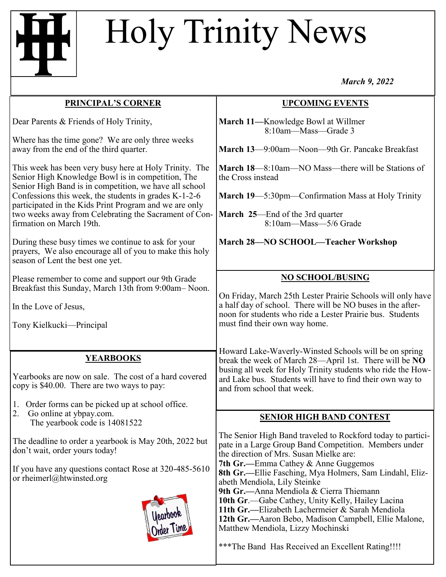## Holy Trinity News

*March 9, 2022*

| <b>PRINCIPAL'S CORNER</b><br><b>UPCOMING EVENTS</b><br>Dear Parents & Friends of Holy Trinity,<br>March 11-Knowledge Bowl at Willmer<br>8:10am-Mass-Grade 3<br>Where has the time gone? We are only three weeks<br>away from the end of the third quarter.<br>March 13-9:00am-Noon-9th Gr. Pancake Breakfast<br>This week has been very busy here at Holy Trinity. The<br><b>March 18</b> —8:10am—NO Mass—there will be Stations of<br>Senior High Knowledge Bowl is in competition, The<br>the Cross instead<br>Senior High Band is in competition, we have all school<br>Confessions this week, the students in grades $K-1-2-6$<br>March 19-5:30pm-Confirmation Mass at Holy Trinity<br>participated in the Kids Print Program and we are only<br>two weeks away from Celebrating the Sacrament of Con-<br><b>March 25</b> —End of the 3rd quarter<br>firmation on March 19th.<br>8:10am-Mass-5/6 Grade<br>March 28-NO SCHOOL-Teacher Workshop<br>During these busy times we continue to ask for your<br>prayers, We also encourage all of you to make this holy |  |
|---------------------------------------------------------------------------------------------------------------------------------------------------------------------------------------------------------------------------------------------------------------------------------------------------------------------------------------------------------------------------------------------------------------------------------------------------------------------------------------------------------------------------------------------------------------------------------------------------------------------------------------------------------------------------------------------------------------------------------------------------------------------------------------------------------------------------------------------------------------------------------------------------------------------------------------------------------------------------------------------------------------------------------------------------------------------|--|
|                                                                                                                                                                                                                                                                                                                                                                                                                                                                                                                                                                                                                                                                                                                                                                                                                                                                                                                                                                                                                                                                     |  |
|                                                                                                                                                                                                                                                                                                                                                                                                                                                                                                                                                                                                                                                                                                                                                                                                                                                                                                                                                                                                                                                                     |  |
|                                                                                                                                                                                                                                                                                                                                                                                                                                                                                                                                                                                                                                                                                                                                                                                                                                                                                                                                                                                                                                                                     |  |
|                                                                                                                                                                                                                                                                                                                                                                                                                                                                                                                                                                                                                                                                                                                                                                                                                                                                                                                                                                                                                                                                     |  |
| season of Lent the best one yet.                                                                                                                                                                                                                                                                                                                                                                                                                                                                                                                                                                                                                                                                                                                                                                                                                                                                                                                                                                                                                                    |  |
| <b>NO SCHOOL/BUSING</b><br>Please remember to come and support our 9th Grade<br>Breakfast this Sunday, March 13th from 9:00am-Noon.<br>On Friday, March 25th Lester Prairie Schools will only have<br>a half day of school. There will be NO buses in the after-<br>In the Love of Jesus,                                                                                                                                                                                                                                                                                                                                                                                                                                                                                                                                                                                                                                                                                                                                                                           |  |
| noon for students who ride a Lester Prairie bus. Students<br>must find their own way home.<br>Tony Kielkucki-Principal                                                                                                                                                                                                                                                                                                                                                                                                                                                                                                                                                                                                                                                                                                                                                                                                                                                                                                                                              |  |
| Howard Lake-Waverly-Winsted Schools will be on spring<br><b>YEARBOOKS</b><br>break the week of March 28—April 1st. There will be NO<br>busing all week for Holy Trinity students who ride the How-<br>Yearbooks are now on sale. The cost of a hard covered<br>ard Lake bus. Students will have to find their own way to<br>copy is \$40.00. There are two ways to pay:<br>and from school that week.<br>Order forms can be picked up at school office.<br>1.                                                                                                                                                                                                                                                                                                                                                                                                                                                                                                                                                                                                       |  |
| 2.<br>Go online at ybpay.com.<br><b>SENIOR HIGH BAND CONTEST</b><br>The yearbook code is 14081522                                                                                                                                                                                                                                                                                                                                                                                                                                                                                                                                                                                                                                                                                                                                                                                                                                                                                                                                                                   |  |
| The Senior High Band traveled to Rockford today to partici-<br>The deadline to order a yearbook is May 20th, 2022 but<br>pate in a Large Group Band Competition. Members under<br>don't wait, order yours today!<br>the direction of Mrs. Susan Mielke are:<br>7th Gr.—Emma Cathey & Anne Guggemos                                                                                                                                                                                                                                                                                                                                                                                                                                                                                                                                                                                                                                                                                                                                                                  |  |
| If you have any questions contact Rose at 320-485-5610<br>8th Gr.—Ellie Fasching, Mya Holmers, Sam Lindahl, Eliz-<br>or rheimerl@htwinsted.org<br>abeth Mendiola, Lily Steinke<br>9th Gr.—Anna Mendiola & Cierra Thiemann<br>10th Gr.-Gabe Cathey, Unity Kelly, Hailey Lacina<br>11th Gr.—Elizabeth Lachermeier & Sarah Mendiola<br><b>Yearbook</b><br>Order Time<br>12th Gr.—Aaron Bebo, Madison Campbell, Ellie Malone,<br>Matthew Mendiola, Lizzy Mochinski<br>*** The Band Has Received an Excellent Rating!!!!                                                                                                                                                                                                                                                                                                                                                                                                                                                                                                                                                 |  |